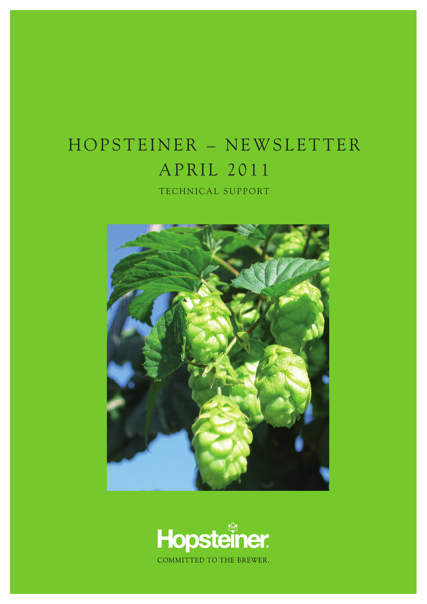## HOPSTEINER - NEWSLETTER APRIL 2011

TECHNICAL SUPPORT